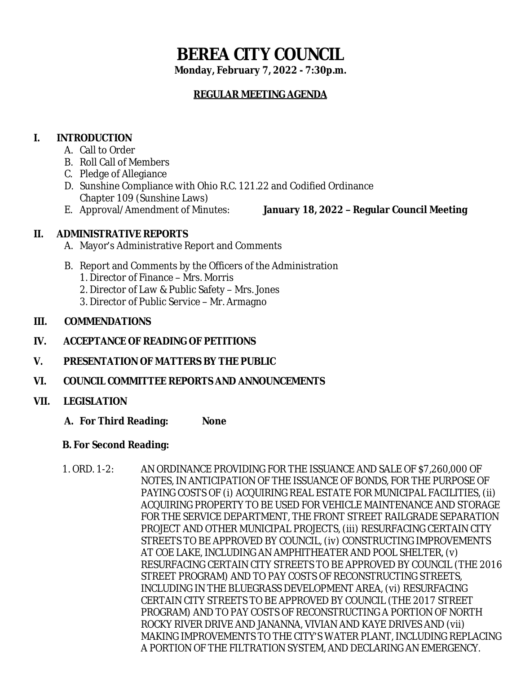# **BEREA CITY COUNCIL**

**Monday, February 7, 2022 - 7:30p.m.**

# **REGULAR MEETING AGENDA**

# **I. INTRODUCTION**

- A. Call to Order
- B. Roll Call of Members
- C. Pledge of Allegiance
- D. Sunshine Compliance with Ohio R.C. 121.22 and Codified Ordinance Chapter 109 (Sunshine Laws)
- 

E. Approval/Amendment of Minutes: **January 18, 2022 – Regular Council Meeting**

## **II. ADMINISTRATIVE REPORTS**

- A. Mayor's Administrative Report and Comments
- B. Report and Comments by the Officers of the Administration
	- 1. Director of Finance Mrs. Morris
	- 2. Director of Law & Public Safety Mrs. Jones
	- 3. Director of Public Service Mr. Armagno

## **III. COMMENDATIONS**

- **IV. ACCEPTANCE OF READING OF PETITIONS**
- **V. PRESENTATION OF MATTERS BY THE PUBLIC**
- **VI. COUNCIL COMMITTEE REPORTS AND ANNOUNCEMENTS**
- **VII. LEGISLATION**
	- **A. For Third Reading: None**

## **B. For Second Reading:**

1. ORD. 1-2: AN ORDINANCE PROVIDING FOR THE ISSUANCE AND SALE OF \$7,260,000 OF NOTES, IN ANTICIPATION OF THE ISSUANCE OF BONDS, FOR THE PURPOSE OF PAYING COSTS OF (i) ACQUIRING REAL ESTATE FOR MUNICIPAL FACILITIES, (ii) ACQUIRING PROPERTY TO BE USED FOR VEHICLE MAINTENANCE AND STORAGE FOR THE SERVICE DEPARTMENT, THE FRONT STREET RAILGRADE SEPARATION PROJECT AND OTHER MUNICIPAL PROJECTS, (iii) RESURFACING CERTAIN CITY STREETS TO BE APPROVED BY COUNCIL, (iv) CONSTRUCTING IMPROVEMENTS AT COE LAKE, INCLUDING AN AMPHITHEATER AND POOL SHELTER, (v) RESURFACING CERTAIN CITY STREETS TO BE APPROVED BY COUNCIL (THE 2016 STREET PROGRAM) AND TO PAY COSTS OF RECONSTRUCTING STREETS, INCLUDING IN THE BLUEGRASS DEVELOPMENT AREA, (vi) RESURFACING CERTAIN CITY STREETS TO BE APPROVED BY COUNCIL (THE 2017 STREET PROGRAM) AND TO PAY COSTS OF RECONSTRUCTING A PORTION OF NORTH ROCKY RIVER DRIVE AND JANANNA, VIVIAN AND KAYE DRIVES AND (vii) MAKING IMPROVEMENTS TO THE CITY'S WATER PLANT, INCLUDING REPLACING A PORTION OF THE FILTRATION SYSTEM, AND DECLARING AN EMERGENCY.